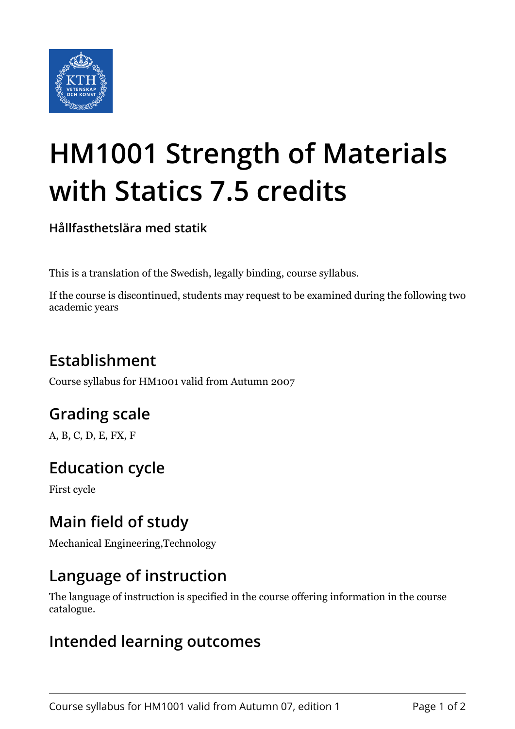

# **HM1001 Strength of Materials with Statics 7.5 credits**

**Hållfasthetslära med statik**

This is a translation of the Swedish, legally binding, course syllabus.

If the course is discontinued, students may request to be examined during the following two academic years

# **Establishment**

Course syllabus for HM1001 valid from Autumn 2007

# **Grading scale**

A, B, C, D, E, FX, F

## **Education cycle**

First cycle

## **Main field of study**

Mechanical Engineering,Technology

### **Language of instruction**

The language of instruction is specified in the course offering information in the course catalogue.

#### **Intended learning outcomes**